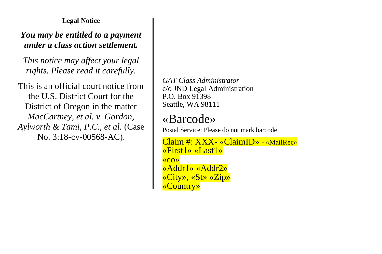## **Legal Notice**

## *You may be entitled to a payment under a class action settlement.*

*This notice may affect your legal rights. Please read it carefully.*

This is an official court notice from the U.S. District Court for the District of Oregon in the matter *MacCartney, et al. v. Gordon, Aylworth & Tami, P.C., et al.* (Case No. 3:18-cv-00568-AC).

*GAT Class Administrator* c/o JND Legal Administration P.O. Box 91398 Seattle, WA 98111

## «Barcode»

Postal Service: Please do not mark barcode

Claim #: XXX- «ClaimID» - «MailRec» «First1» «Last1» «co» «Addr1» «Addr2» «City», «St» «Zip» «Country»